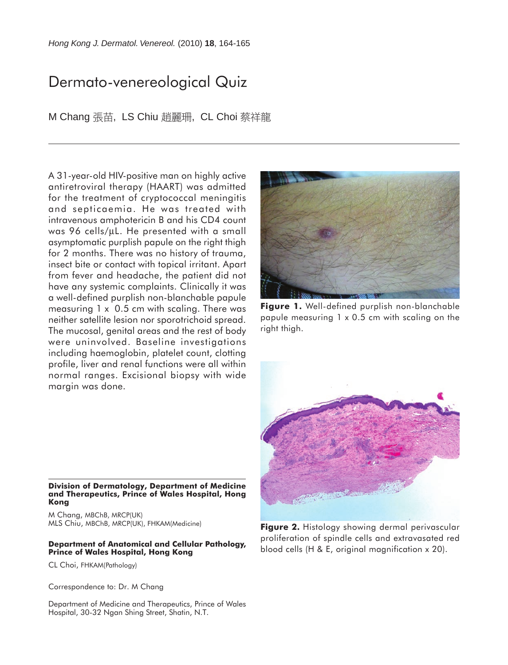## Dermato-venereological Quiz

M Chang 張苗, LS Chiu 趙麗珊, CL Choi 蔡祥龍

A 31-year-old HIV-positive man on highly active antiretroviral therapy (HAART) was admitted for the treatment of cryptococcal meningitis and septicaemia. He was treated with intravenous amphotericin B and his CD4 count was 96 cells/µL. He presented with a small asymptomatic purplish papule on the right thigh for 2 months. There was no history of trauma, insect bite or contact with topical irritant. Apart from fever and headache, the patient did not have any systemic complaints. Clinically it was a well-defined purplish non-blanchable papule measuring 1 x 0.5 cm with scaling. There was neither satellite lesion nor sporotrichoid spread. The mucosal, genital areas and the rest of body were uninvolved. Baseline investigations including haemoglobin, platelet count, clotting profile, liver and renal functions were all within normal ranges. Excisional biopsy with wide margin was done.



**Figure 1.** Well-defined purplish non-blanchable papule measuring 1 x 0.5 cm with scaling on the right thigh.



**Division of Dermatology, Department of Medicine and Therapeutics, Prince of Wales Hospital, Hong Kong**

M Chang, MBChB, MRCP(UK) MLS Chiu, MBChB, MRCP(UK), FHKAM(Medicine)

## **Department of Anatomical and Cellular Pathology, Prince of Wales Hospital, Hong Kong**

CL Choi, FHKAM(Pathology)

Correspondence to: Dr. M Chang

Department of Medicine and Therapeutics, Prince of Wales Hospital, 30-32 Ngan Shing Street, Shatin, N.T.

**Figure 2.** Histology showing dermal perivascular proliferation of spindle cells and extravasated red blood cells (H & E, original magnification x 20).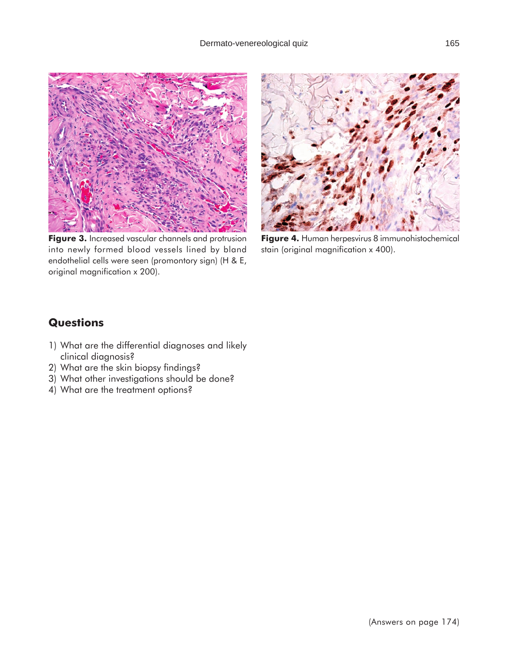

Figure 3. Increased vascular channels and protrusion into newly formed blood vessels lined by bland endothelial cells were seen (promontory sign) (H & E, original magnification x 200).



**Figure 4.** Human herpesvirus 8 immunohistochemical stain (original magnification x 400).

## **Questions**

- 1) What are the differential diagnoses and likely clinical diagnosis?
- 2) What are the skin biopsy findings?
- 3) What other investigations should be done?
- 4) What are the treatment options?